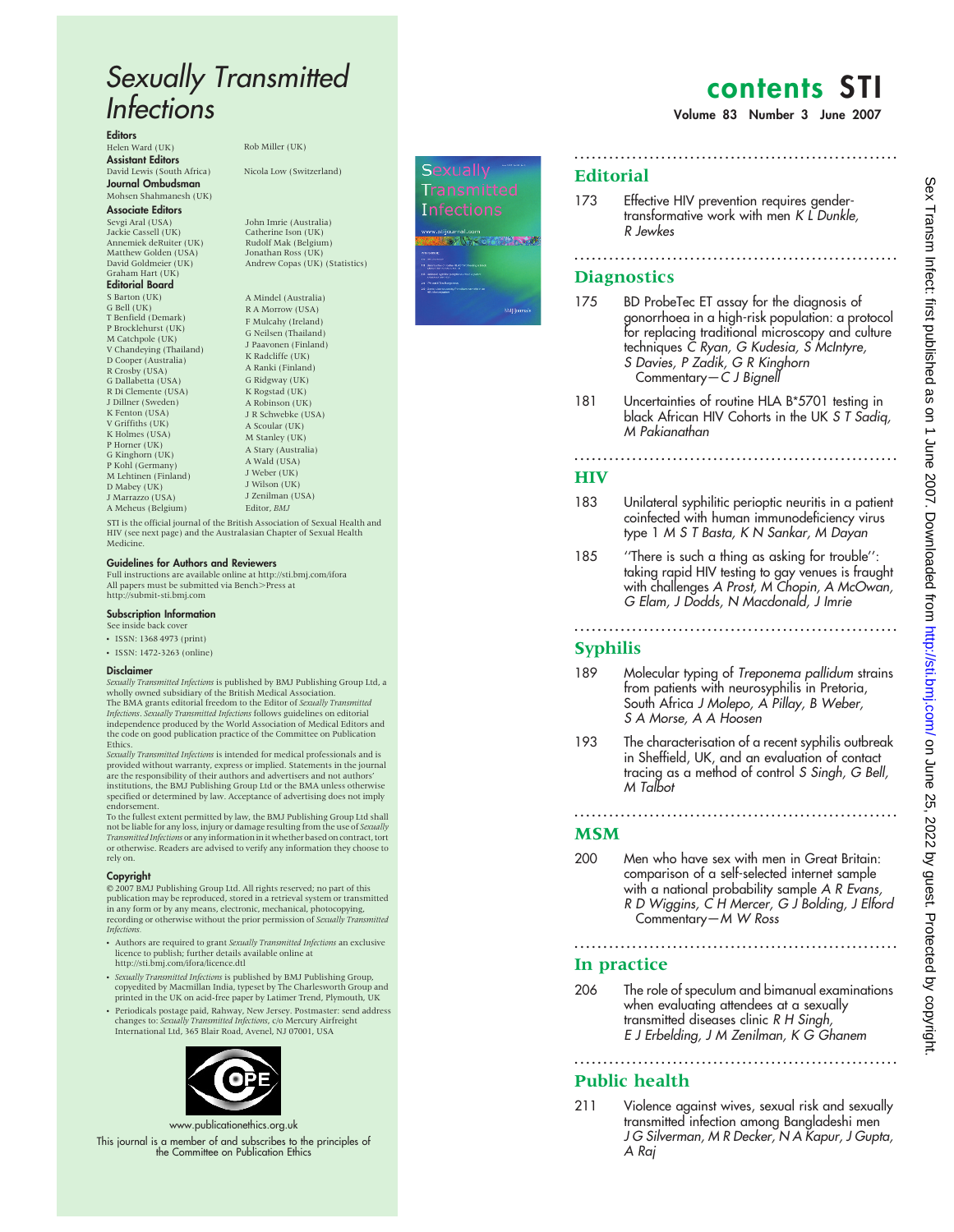# Sexually Transmitted Infections

Editors

Helen Ward (UK) Rob Miller (UK) Assistant Editors David Lewis (South Africa) Nicola Low (Switzerland) Journal Ombudsman Mohsen Shahmanesh (UK)

#### Associate Editors

Sevgi Aral (USA) Jackie Cassell (UK) Annemiek deRuiter (UK) Matthew Golden (USA) David Goldmeier (UK) Graham Hart (UK) Editorial Board S Barton (UK) G Bell (UK)

T Benfield (Demark) P Brocklehurst (UK) M Catchpole (UK) V Chandeying (Thailand) D Cooper (Australia) R Crosby (USA) G Dallabetta (USA) R Di Clemente (USA) J Dillner (Sweden) K Fenton (USA) V Griffiths (UK) K Holmes (USA) P Horner (UK) G Kinghorn (UK) P Kohl (Germany) M Lehtinen (Finland) D Mabey (UK) J Marrazzo (USA) A Meheus (Belgium)

John Imrie (Australia) Catherine Ison (UK) Rudolf Mak (Belgium) Jonathan Ross (UK) Andrew Copas (UK) (Statistics)

A Mindel (Australia) R A Morrow (USA) F Mulcahy (Ireland) G Neilsen (Thailand) J Paavonen (Finland) K Radcliffe (UK) A Ranki (Finland) G Ridgway (UK) K Rogstad (UK) A Robinson (UK) J R Schwebke (USA) A Scoular (UK) M Stanley (UK) A Stary (Australia) A Wald (USA) J Weber (UK) J Wilson (UK) J Zenilman (USA) Editor, BMJ

STI is the official journal of the British Association of Sexual Health and HIV (see next page) and the Australasian Chapter of Sexual Health Medicine.

#### Guidelines for Authors and Reviewers

Full instructions are available online at http://sti.bmj.com/ifora All papers must be submitted via Bench>Press at<br>http://submit-sti.bmj.com

#### Subscription Information

See inside back cover

- ISSN: 1368 4973 (print)
- ISSN: 1472-3263 (online)

#### Disclaimer

Sexually Transmitted Infections is published by BMJ Publishing Group Ltd, a wholly owned subsidiary of the British Medical Association.<br>The BMA grants editorial freedom to the Editor of *Sexually Transmitted* I*nfections. Sexually Transmitted Infections* follows guidelines on editorial<br>independence produced by the World Association of Medical Editors and<br>the code on good publication practice of the Committee on Publication Ethics.

Sexually Transmitted Infections is intended for medical professionals and is provided without warranty, express or implied. Statements in the journal are the responsibility of their authors and advertisers and not authors' institutions, the BMJ Publishing Group Ltd or the BMA unless otherwise specified or determined by law. Acceptance of advertising does not imply endorsement.

To the fullest extent permitted by law, the BMJ Publishing Group Ltd shall not be liable for any loss, injury or damage resulting from the use of *Sexually*<br>T*ransmitted Infections* or any information in it whether based on contract, tort or otherwise. Readers are advised to verify any information they choose to rely on.

#### Copyright

E 2007 BMJ Publishing Group Ltd. All rights reserved; no part of this publication may be reproduced, stored in a retrieval system or transmitted in any form or by any means, electronic, mechanical, photocopying, recording or otherwise without the prior permission of Sexually Transmitted Infections.

- Authors are required to grant Sexually Transmitted Infections an exclusive licence to publish; further details available online at http://sti.bmj.com/ifora/licence.dtl
- Sexually Transmitted Infections is published by BMJ Publishing Group, copyedited by Macmillan India, typeset by The Charlesworth Group and printed in the UK on acid-free paper by Latimer Trend, Plymouth, UK
- Periodicals postage paid, Rahway, New Jersey. Postmaster: send address changes to: *Sexually Transmitted Infections, c/*o Mercury Airfreight<br>International Ltd, 365 Blair Road, Avenel, NJ 07001, USA



www.publicationethics.org.uk

This journal is a member of and subscribes to the principles of the Committee on Publication Ethics



# contents STI

Volume 83 Number 3 June 2007

#### **Editorial**

173 Effective HIV prevention requires gendertransformative work with men K L Dunkle, R Jewkes

........................................................

## **Diagnostics**

175 BD ProbeTec ET assay for the diagnosis of gonorrhoea in a high-risk population: a protocol for replacing traditional microscopy and culture techniques C Ryan, G Kudesia, S McIntyre, S Davies, P Zadik, G R Kinghorn Commentary—C J Bignell

........................................................

181 Uncertainties of routine HLA B \*5701 testing in black African HIV Cohorts in the UK S T Sadiq, M Pakianathan

........................................................

#### **HIV**

- 183 Unilateral syphilitic perioptic neuritis in a patient coinfected with human immunodeficiency virus type 1 M S T Basta, K N Sankar, M Dayan
- 185 ''There is such a thing as asking for trouble'': taking rapid HIV testing to gay venues is fraught with challenges A Prost, M Chopin, A McOwan, G Elam, J Dodds, N Macdonald, J Imrie

........................................................

### Syphilis

- 189 Molecular typing of Treponema pallidum strains from patients with neurosyphilis in Pretoria, South Africa J Molepo, A Pillay, B Weber, S A Morse, A A Hoosen
- 193 The characterisation of a recent syphilis outbreak in Sheffield, UK, and an evaluation of contact tracing as a method of control S Singh, G Bell, M Talbot

........................................................

#### **MSM**

200 Men who have sex with men in Great Britain: comparison of a self-selected internet sample with a national probability sample A R Evans, R D Wiggins, C H Mercer, G J Bolding, J Elford Commentary—M W Ross

........................................................

#### In practice

206 The role of speculum and bimanual examinations when evaluating attendees at a sexually transmitted diseases clinic R H Singh, E J Erbelding, J M Zenilman, K G Ghanem

........................................................

### Public health

211 Violence against wives, sexual risk and sexually transmitted infection among Bangladeshi men J G Silverman, M R Decker, N A Kapur, J Gupta, A Raj